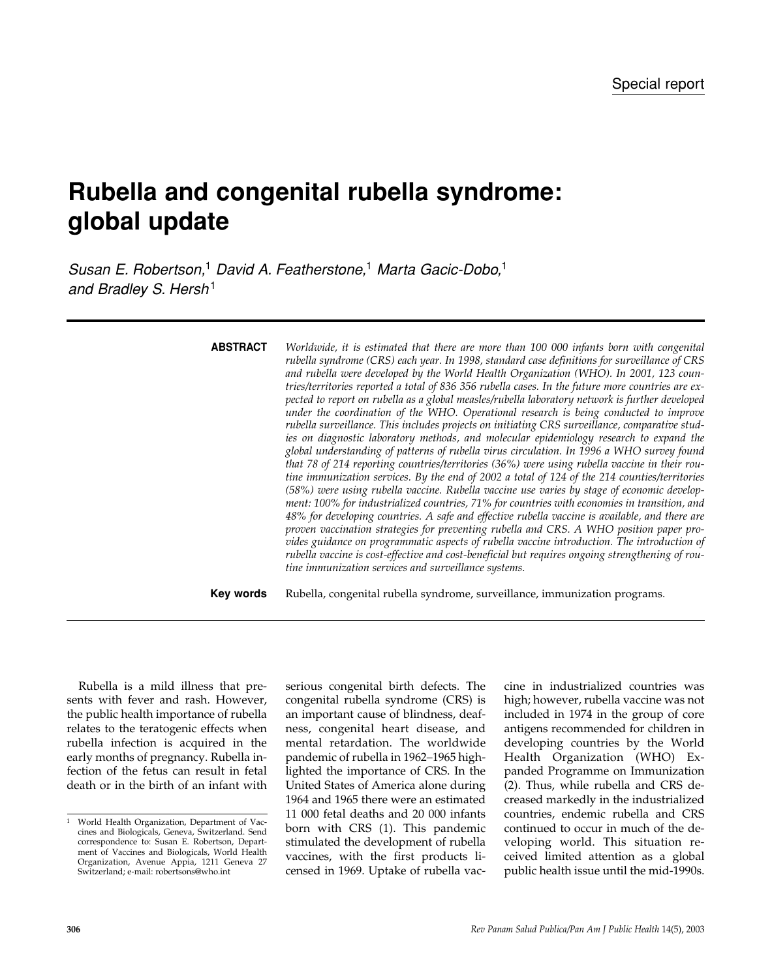# **Rubella and congenital rubella syndrome: global update**

*Susan E. Robertson,*<sup>1</sup> *David A. Featherstone,*<sup>1</sup> *Marta Gacic-Dobo,*<sup>1</sup> *and Bradley S. Hersh*<sup>1</sup>

| <b>ABSTRACT</b> | Worldwide, it is estimated that there are more than 100 000 infants born with congenital<br>rubella syndrome (CRS) each year. In 1998, standard case definitions for surveillance of CRS<br>and rubella were developed by the World Health Organization (WHO). In 2001, 123 coun-<br>tries/territories reported a total of 836 356 rubella cases. In the future more countries are ex-<br>pected to report on rubella as a global measles/rubella laboratory network is further developed<br>under the coordination of the WHO. Operational research is being conducted to improve<br>rubella surveillance. This includes projects on initiating CRS surveillance, comparative stud-<br>ies on diagnostic laboratory methods, and molecular epidemiology research to expand the<br>global understanding of patterns of rubella virus circulation. In 1996 a WHO survey found<br>that 78 of 214 reporting countries/territories (36%) were using rubella vaccine in their rou-<br>tine immunization services. By the end of 2002 a total of 124 of the 214 counties/territories<br>(58%) were using rubella vaccine. Rubella vaccine use varies by stage of economic develop-<br>ment: 100% for industrialized countries, 71% for countries with economies in transition, and<br>48% for developing countries. A safe and effective rubella vaccine is available, and there are<br>proven vaccination strategies for preventing rubella and CRS. A WHO position paper pro-<br>vides guidance on programmatic aspects of rubella vaccine introduction. The introduction of<br>rubella vaccine is cost-effective and cost-beneficial but requires ongoing strengthening of rou-<br>tine immunization services and surveillance systems. |
|-----------------|--------------------------------------------------------------------------------------------------------------------------------------------------------------------------------------------------------------------------------------------------------------------------------------------------------------------------------------------------------------------------------------------------------------------------------------------------------------------------------------------------------------------------------------------------------------------------------------------------------------------------------------------------------------------------------------------------------------------------------------------------------------------------------------------------------------------------------------------------------------------------------------------------------------------------------------------------------------------------------------------------------------------------------------------------------------------------------------------------------------------------------------------------------------------------------------------------------------------------------------------------------------------------------------------------------------------------------------------------------------------------------------------------------------------------------------------------------------------------------------------------------------------------------------------------------------------------------------------------------------------------------------------------------------------------------------------------------------------------------------|
| Key words       | Rubella, congenital rubella syndrome, surveillance, immunization programs.                                                                                                                                                                                                                                                                                                                                                                                                                                                                                                                                                                                                                                                                                                                                                                                                                                                                                                                                                                                                                                                                                                                                                                                                                                                                                                                                                                                                                                                                                                                                                                                                                                                           |

Rubella is a mild illness that presents with fever and rash. However, the public health importance of rubella relates to the teratogenic effects when rubella infection is acquired in the early months of pregnancy. Rubella infection of the fetus can result in fetal death or in the birth of an infant with

serious congenital birth defects. The congenital rubella syndrome (CRS) is an important cause of blindness, deafness, congenital heart disease, and mental retardation. The worldwide pandemic of rubella in 1962–1965 highlighted the importance of CRS. In the United States of America alone during 1964 and 1965 there were an estimated 11 000 fetal deaths and 20 000 infants born with CRS (1). This pandemic stimulated the development of rubella vaccines, with the first products licensed in 1969. Uptake of rubella vaccine in industrialized countries was high; however, rubella vaccine was not included in 1974 in the group of core antigens recommended for children in developing countries by the World Health Organization (WHO) Expanded Programme on Immunization (2). Thus, while rubella and CRS decreased markedly in the industrialized countries, endemic rubella and CRS continued to occur in much of the developing world. This situation received limited attention as a global public health issue until the mid-1990s.

<sup>1</sup> World Health Organization, Department of Vaccines and Biologicals, Geneva, Switzerland. Send correspondence to: Susan E. Robertson, Department of Vaccines and Biologicals, World Health Organization, Avenue Appia, 1211 Geneva 27 Switzerland; e-mail: robertsons@who.int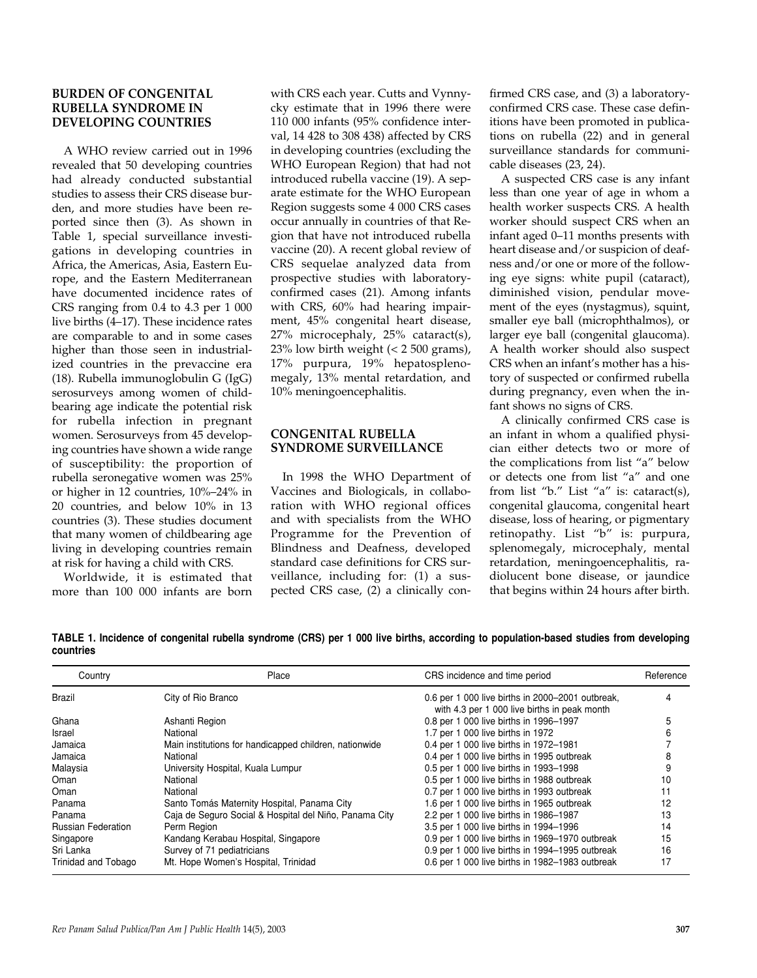# **BURDEN OF CONGENITAL RUBELLA SYNDROME IN DEVELOPING COUNTRIES**

A WHO review carried out in 1996 revealed that 50 developing countries had already conducted substantial studies to assess their CRS disease burden, and more studies have been reported since then (3). As shown in Table 1, special surveillance investigations in developing countries in Africa, the Americas, Asia, Eastern Europe, and the Eastern Mediterranean have documented incidence rates of CRS ranging from 0.4 to 4.3 per 1 000 live births (4–17). These incidence rates are comparable to and in some cases higher than those seen in industrialized countries in the prevaccine era (18). Rubella immunoglobulin G (IgG) serosurveys among women of childbearing age indicate the potential risk for rubella infection in pregnant women. Serosurveys from 45 developing countries have shown a wide range of susceptibility: the proportion of rubella seronegative women was 25% or higher in 12 countries, 10%–24% in 20 countries, and below 10% in 13 countries (3). These studies document that many women of childbearing age living in developing countries remain at risk for having a child with CRS.

Worldwide, it is estimated that more than 100 000 infants are born

with CRS each year. Cutts and Vynnycky estimate that in 1996 there were 110 000 infants (95% confidence interval, 14 428 to 308 438) affected by CRS in developing countries (excluding the WHO European Region) that had not introduced rubella vaccine (19). A separate estimate for the WHO European Region suggests some 4 000 CRS cases occur annually in countries of that Region that have not introduced rubella vaccine (20). A recent global review of CRS sequelae analyzed data from prospective studies with laboratoryconfirmed cases (21). Among infants with CRS, 60% had hearing impairment, 45% congenital heart disease, 27% microcephaly, 25% cataract(s), 23% low birth weight (< 2 500 grams), 17% purpura, 19% hepatosplenomegaly, 13% mental retardation, and 10% meningoencephalitis.

# **CONGENITAL RUBELLA SYNDROME SURVEILLANCE**

In 1998 the WHO Department of Vaccines and Biologicals, in collaboration with WHO regional offices and with specialists from the WHO Programme for the Prevention of Blindness and Deafness, developed standard case definitions for CRS surveillance, including for: (1) a suspected CRS case, (2) a clinically confirmed CRS case, and (3) a laboratoryconfirmed CRS case. These case definitions have been promoted in publications on rubella (22) and in general surveillance standards for communicable diseases (23, 24).

A suspected CRS case is any infant less than one year of age in whom a health worker suspects CRS. A health worker should suspect CRS when an infant aged 0–11 months presents with heart disease and/or suspicion of deafness and/or one or more of the following eye signs: white pupil (cataract), diminished vision, pendular movement of the eyes (nystagmus), squint, smaller eye ball (microphthalmos), or larger eye ball (congenital glaucoma). A health worker should also suspect CRS when an infant's mother has a history of suspected or confirmed rubella during pregnancy, even when the infant shows no signs of CRS.

A clinically confirmed CRS case is an infant in whom a qualified physician either detects two or more of the complications from list "a" below or detects one from list "a" and one from list "b." List "a" is: cataract(s), congenital glaucoma, congenital heart disease, loss of hearing, or pigmentary retinopathy. List "b" is: purpura, splenomegaly, microcephaly, mental retardation, meningoencephalitis, radiolucent bone disease, or jaundice that begins within 24 hours after birth.

| TABLE 1. Incidence of congenital rubella syndrome (CRS) per 1 000 live births, according to population-based studies from developing |  |  |  |  |  |
|--------------------------------------------------------------------------------------------------------------------------------------|--|--|--|--|--|
| countries                                                                                                                            |  |  |  |  |  |

| Country                   | Place                                                  | CRS incidence and time period                                                                    | Reference |  |
|---------------------------|--------------------------------------------------------|--------------------------------------------------------------------------------------------------|-----------|--|
| <b>Brazil</b>             | City of Rio Branco                                     | 0.6 per 1 000 live births in 2000–2001 outbreak,<br>with 4.3 per 1 000 live births in peak month |           |  |
| Ghana                     | Ashanti Region                                         | 0.8 per 1 000 live births in 1996-1997                                                           |           |  |
| Israel                    | National                                               | 1.7 per 1 000 live births in 1972                                                                |           |  |
| Jamaica                   | Main institutions for handicapped children, nationwide | 0.4 per 1 000 live births in 1972-1981                                                           |           |  |
| Jamaica                   | National                                               | 0.4 per 1 000 live births in 1995 outbreak                                                       |           |  |
| Malaysia                  | University Hospital, Kuala Lumpur                      | 0.5 per 1 000 live births in 1993-1998                                                           |           |  |
| Oman                      | National                                               | 0.5 per 1 000 live births in 1988 outbreak                                                       | 10        |  |
| Oman                      | National                                               | 0.7 per 1 000 live births in 1993 outbreak                                                       | 11        |  |
| Panama                    | Santo Tomás Maternity Hospital, Panama City            | 1.6 per 1 000 live births in 1965 outbreak                                                       | 12        |  |
| Panama                    | Caja de Seguro Social & Hospital del Niño, Panama City | 2.2 per 1 000 live births in 1986-1987                                                           | 13        |  |
| <b>Russian Federation</b> | Perm Region                                            | 3.5 per 1 000 live births in 1994-1996                                                           | 14        |  |
| Singapore                 | Kandang Kerabau Hospital, Singapore                    | 0.9 per 1 000 live births in 1969-1970 outbreak                                                  | 15        |  |
| Sri Lanka                 | Survey of 71 pediatricians                             | 0.9 per 1 000 live births in 1994-1995 outbreak                                                  | 16        |  |
| Trinidad and Tobago       | Mt. Hope Women's Hospital, Trinidad                    | 0.6 per 1 000 live births in 1982-1983 outbreak                                                  | 17        |  |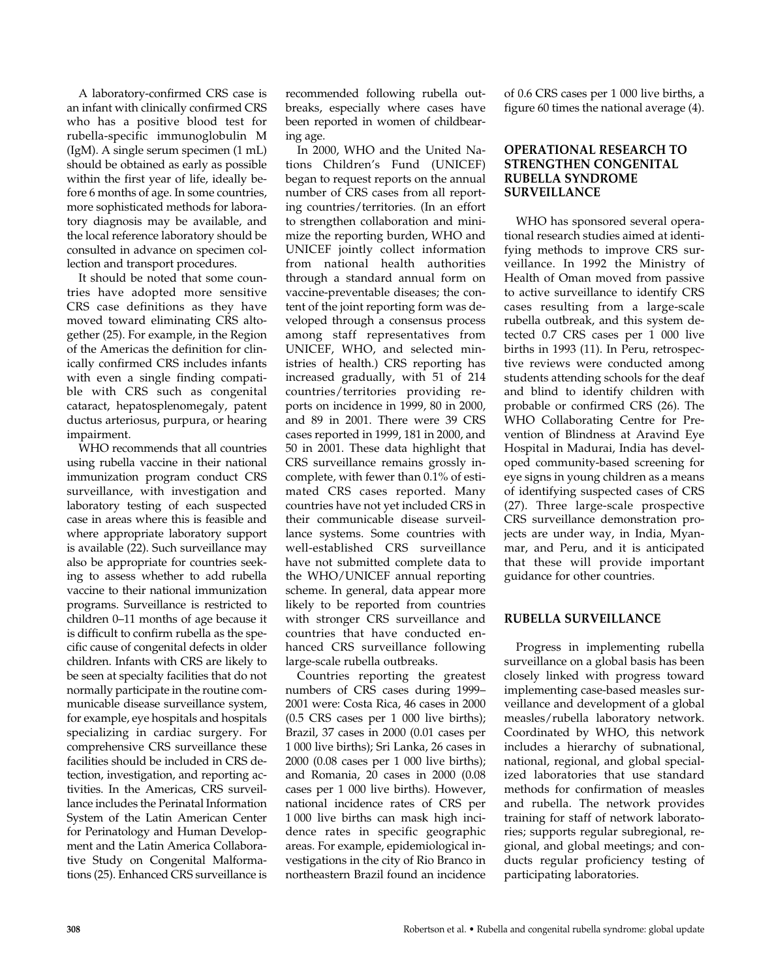A laboratory-confirmed CRS case is an infant with clinically confirmed CRS who has a positive blood test for rubella-specific immunoglobulin M (IgM). A single serum specimen (1 mL) should be obtained as early as possible within the first year of life, ideally before 6 months of age. In some countries, more sophisticated methods for laboratory diagnosis may be available, and the local reference laboratory should be consulted in advance on specimen collection and transport procedures.

It should be noted that some countries have adopted more sensitive CRS case definitions as they have moved toward eliminating CRS altogether (25). For example, in the Region of the Americas the definition for clinically confirmed CRS includes infants with even a single finding compatible with CRS such as congenital cataract, hepatosplenomegaly, patent ductus arteriosus, purpura, or hearing impairment.

WHO recommends that all countries using rubella vaccine in their national immunization program conduct CRS surveillance, with investigation and laboratory testing of each suspected case in areas where this is feasible and where appropriate laboratory support is available (22). Such surveillance may also be appropriate for countries seeking to assess whether to add rubella vaccine to their national immunization programs. Surveillance is restricted to children 0–11 months of age because it is difficult to confirm rubella as the specific cause of congenital defects in older children. Infants with CRS are likely to be seen at specialty facilities that do not normally participate in the routine communicable disease surveillance system, for example, eye hospitals and hospitals specializing in cardiac surgery. For comprehensive CRS surveillance these facilities should be included in CRS detection, investigation, and reporting activities. In the Americas, CRS surveillance includes the Perinatal Information System of the Latin American Center for Perinatology and Human Development and the Latin America Collaborative Study on Congenital Malformations (25). Enhanced CRS surveillance is

recommended following rubella outbreaks, especially where cases have been reported in women of childbearing age.

In 2000, WHO and the United Nations Children's Fund (UNICEF) began to request reports on the annual number of CRS cases from all reporting countries/territories. (In an effort to strengthen collaboration and minimize the reporting burden, WHO and UNICEF jointly collect information from national health authorities through a standard annual form on vaccine-preventable diseases; the content of the joint reporting form was developed through a consensus process among staff representatives from UNICEF, WHO, and selected ministries of health.) CRS reporting has increased gradually, with 51 of 214 countries/territories providing reports on incidence in 1999, 80 in 2000, and 89 in 2001. There were 39 CRS cases reported in 1999, 181 in 2000, and 50 in 2001. These data highlight that CRS surveillance remains grossly incomplete, with fewer than 0.1% of estimated CRS cases reported. Many countries have not yet included CRS in their communicable disease surveillance systems. Some countries with well-established CRS surveillance have not submitted complete data to the WHO/UNICEF annual reporting scheme. In general, data appear more likely to be reported from countries with stronger CRS surveillance and countries that have conducted enhanced CRS surveillance following large-scale rubella outbreaks.

Countries reporting the greatest numbers of CRS cases during 1999– 2001 were: Costa Rica, 46 cases in 2000 (0.5 CRS cases per 1 000 live births); Brazil, 37 cases in 2000 (0.01 cases per 1 000 live births); Sri Lanka, 26 cases in 2000 (0.08 cases per 1 000 live births); and Romania, 20 cases in 2000 (0.08 cases per 1 000 live births). However, national incidence rates of CRS per 1 000 live births can mask high incidence rates in specific geographic areas. For example, epidemiological investigations in the city of Rio Branco in northeastern Brazil found an incidence

of 0.6 CRS cases per 1 000 live births, a figure 60 times the national average (4).

### **OPERATIONAL RESEARCH TO STRENGTHEN CONGENITAL RUBELLA SYNDROME SURVEILLANCE**

WHO has sponsored several operational research studies aimed at identifying methods to improve CRS surveillance. In 1992 the Ministry of Health of Oman moved from passive to active surveillance to identify CRS cases resulting from a large-scale rubella outbreak, and this system detected 0.7 CRS cases per 1 000 live births in 1993 (11). In Peru, retrospective reviews were conducted among students attending schools for the deaf and blind to identify children with probable or confirmed CRS (26). The WHO Collaborating Centre for Prevention of Blindness at Aravind Eye Hospital in Madurai, India has developed community-based screening for eye signs in young children as a means of identifying suspected cases of CRS (27). Three large-scale prospective CRS surveillance demonstration projects are under way, in India, Myanmar, and Peru, and it is anticipated that these will provide important guidance for other countries.

# **RUBELLA SURVEILLANCE**

Progress in implementing rubella surveillance on a global basis has been closely linked with progress toward implementing case-based measles surveillance and development of a global measles/rubella laboratory network. Coordinated by WHO, this network includes a hierarchy of subnational, national, regional, and global specialized laboratories that use standard methods for confirmation of measles and rubella. The network provides training for staff of network laboratories; supports regular subregional, regional, and global meetings; and conducts regular proficiency testing of participating laboratories.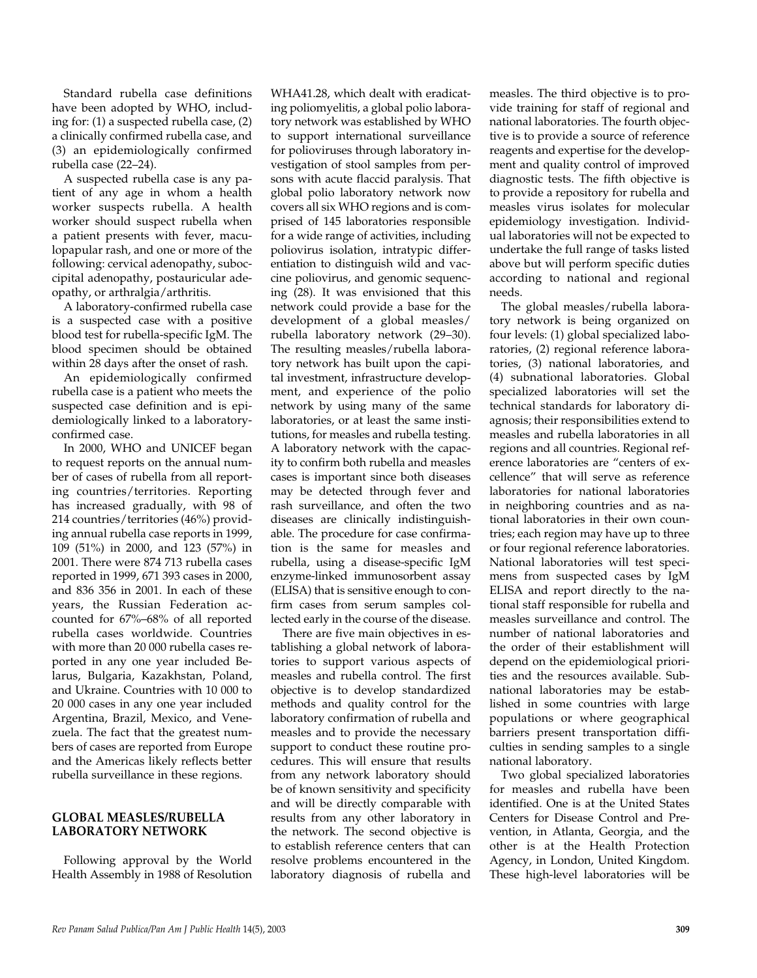Standard rubella case definitions have been adopted by WHO, including for: (1) a suspected rubella case, (2) a clinically confirmed rubella case, and (3) an epidemiologically confirmed rubella case (22–24).

A suspected rubella case is any patient of any age in whom a health worker suspects rubella. A health worker should suspect rubella when a patient presents with fever, maculopapular rash, and one or more of the following: cervical adenopathy, suboccipital adenopathy, postauricular adeopathy, or arthralgia/arthritis.

A laboratory-confirmed rubella case is a suspected case with a positive blood test for rubella-specific IgM. The blood specimen should be obtained within 28 days after the onset of rash.

An epidemiologically confirmed rubella case is a patient who meets the suspected case definition and is epidemiologically linked to a laboratoryconfirmed case.

In 2000, WHO and UNICEF began to request reports on the annual number of cases of rubella from all reporting countries/territories. Reporting has increased gradually, with 98 of 214 countries/territories (46%) providing annual rubella case reports in 1999, 109 (51%) in 2000, and 123 (57%) in 2001. There were 874 713 rubella cases reported in 1999, 671 393 cases in 2000, and 836 356 in 2001. In each of these years, the Russian Federation accounted for 67%–68% of all reported rubella cases worldwide. Countries with more than 20 000 rubella cases reported in any one year included Belarus, Bulgaria, Kazakhstan, Poland, and Ukraine. Countries with 10 000 to 20 000 cases in any one year included Argentina, Brazil, Mexico, and Venezuela. The fact that the greatest numbers of cases are reported from Europe and the Americas likely reflects better rubella surveillance in these regions.

# **GLOBAL MEASLES/RUBELLA LABORATORY NETWORK**

Following approval by the World Health Assembly in 1988 of Resolution

WHA41.28, which dealt with eradicating poliomyelitis, a global polio laboratory network was established by WHO to support international surveillance for polioviruses through laboratory investigation of stool samples from persons with acute flaccid paralysis. That global polio laboratory network now covers all six WHO regions and is comprised of 145 laboratories responsible for a wide range of activities, including poliovirus isolation, intratypic differentiation to distinguish wild and vaccine poliovirus, and genomic sequencing (28). It was envisioned that this network could provide a base for the development of a global measles/ rubella laboratory network (29–30). The resulting measles/rubella laboratory network has built upon the capital investment, infrastructure development, and experience of the polio network by using many of the same laboratories, or at least the same institutions, for measles and rubella testing. A laboratory network with the capacity to confirm both rubella and measles cases is important since both diseases may be detected through fever and rash surveillance, and often the two diseases are clinically indistinguishable. The procedure for case confirmation is the same for measles and rubella, using a disease-specific IgM enzyme-linked immunosorbent assay (ELISA) that is sensitive enough to confirm cases from serum samples collected early in the course of the disease.

There are five main objectives in establishing a global network of laboratories to support various aspects of measles and rubella control. The first objective is to develop standardized methods and quality control for the laboratory confirmation of rubella and measles and to provide the necessary support to conduct these routine procedures. This will ensure that results from any network laboratory should be of known sensitivity and specificity and will be directly comparable with results from any other laboratory in the network. The second objective is to establish reference centers that can resolve problems encountered in the laboratory diagnosis of rubella and

measles. The third objective is to provide training for staff of regional and national laboratories. The fourth objective is to provide a source of reference reagents and expertise for the development and quality control of improved diagnostic tests. The fifth objective is to provide a repository for rubella and measles virus isolates for molecular epidemiology investigation. Individual laboratories will not be expected to undertake the full range of tasks listed above but will perform specific duties according to national and regional needs.

The global measles/rubella laboratory network is being organized on four levels: (1) global specialized laboratories, (2) regional reference laboratories, (3) national laboratories, and (4) subnational laboratories. Global specialized laboratories will set the technical standards for laboratory diagnosis; their responsibilities extend to measles and rubella laboratories in all regions and all countries. Regional reference laboratories are "centers of excellence" that will serve as reference laboratories for national laboratories in neighboring countries and as national laboratories in their own countries; each region may have up to three or four regional reference laboratories. National laboratories will test specimens from suspected cases by IgM ELISA and report directly to the national staff responsible for rubella and measles surveillance and control. The number of national laboratories and the order of their establishment will depend on the epidemiological priorities and the resources available. Subnational laboratories may be established in some countries with large populations or where geographical barriers present transportation difficulties in sending samples to a single national laboratory.

Two global specialized laboratories for measles and rubella have been identified. One is at the United States Centers for Disease Control and Prevention, in Atlanta, Georgia, and the other is at the Health Protection Agency, in London, United Kingdom. These high-level laboratories will be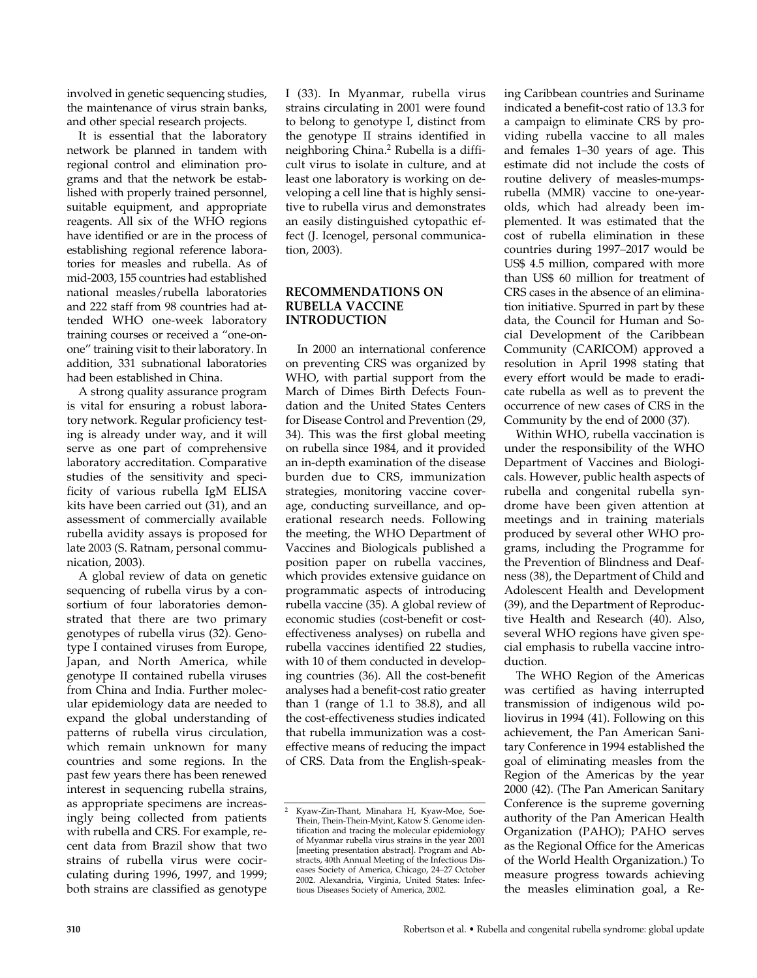involved in genetic sequencing studies, the maintenance of virus strain banks, and other special research projects.

It is essential that the laboratory network be planned in tandem with regional control and elimination programs and that the network be established with properly trained personnel, suitable equipment, and appropriate reagents. All six of the WHO regions have identified or are in the process of establishing regional reference laboratories for measles and rubella. As of mid-2003, 155 countries had established national measles/rubella laboratories and 222 staff from 98 countries had attended WHO one-week laboratory training courses or received a "one-onone" training visit to their laboratory. In addition, 331 subnational laboratories had been established in China.

A strong quality assurance program is vital for ensuring a robust laboratory network. Regular proficiency testing is already under way, and it will serve as one part of comprehensive laboratory accreditation. Comparative studies of the sensitivity and specificity of various rubella IgM ELISA kits have been carried out (31), and an assessment of commercially available rubella avidity assays is proposed for late 2003 (S. Ratnam, personal communication, 2003).

A global review of data on genetic sequencing of rubella virus by a consortium of four laboratories demonstrated that there are two primary genotypes of rubella virus (32). Genotype I contained viruses from Europe, Japan, and North America, while genotype II contained rubella viruses from China and India. Further molecular epidemiology data are needed to expand the global understanding of patterns of rubella virus circulation, which remain unknown for many countries and some regions. In the past few years there has been renewed interest in sequencing rubella strains, as appropriate specimens are increasingly being collected from patients with rubella and CRS. For example, recent data from Brazil show that two strains of rubella virus were cocirculating during 1996, 1997, and 1999; both strains are classified as genotype

I (33). In Myanmar, rubella virus strains circulating in 2001 were found to belong to genotype I, distinct from the genotype II strains identified in neighboring China.2 Rubella is a difficult virus to isolate in culture, and at least one laboratory is working on developing a cell line that is highly sensitive to rubella virus and demonstrates an easily distinguished cytopathic effect (J. Icenogel, personal communication, 2003).

# **RECOMMENDATIONS ON RUBELLA VACCINE INTRODUCTION**

In 2000 an international conference on preventing CRS was organized by WHO, with partial support from the March of Dimes Birth Defects Foundation and the United States Centers for Disease Control and Prevention (29, 34). This was the first global meeting on rubella since 1984, and it provided an in-depth examination of the disease burden due to CRS, immunization strategies, monitoring vaccine coverage, conducting surveillance, and operational research needs. Following the meeting, the WHO Department of Vaccines and Biologicals published a position paper on rubella vaccines, which provides extensive guidance on programmatic aspects of introducing rubella vaccine (35). A global review of economic studies (cost-benefit or costeffectiveness analyses) on rubella and rubella vaccines identified 22 studies, with 10 of them conducted in developing countries (36). All the cost-benefit analyses had a benefit-cost ratio greater than 1 (range of 1.1 to 38.8), and all the cost-effectiveness studies indicated that rubella immunization was a costeffective means of reducing the impact of CRS. Data from the English-speaking Caribbean countries and Suriname indicated a benefit-cost ratio of 13.3 for a campaign to eliminate CRS by providing rubella vaccine to all males and females 1–30 years of age. This estimate did not include the costs of routine delivery of measles-mumpsrubella (MMR) vaccine to one-yearolds, which had already been implemented. It was estimated that the cost of rubella elimination in these countries during 1997–2017 would be US\$ 4.5 million, compared with more than US\$ 60 million for treatment of CRS cases in the absence of an elimination initiative. Spurred in part by these data, the Council for Human and Social Development of the Caribbean Community (CARICOM) approved a resolution in April 1998 stating that every effort would be made to eradicate rubella as well as to prevent the occurrence of new cases of CRS in the Community by the end of 2000 (37).

Within WHO, rubella vaccination is under the responsibility of the WHO Department of Vaccines and Biologicals. However, public health aspects of rubella and congenital rubella syndrome have been given attention at meetings and in training materials produced by several other WHO programs, including the Programme for the Prevention of Blindness and Deafness (38), the Department of Child and Adolescent Health and Development (39), and the Department of Reproductive Health and Research (40). Also, several WHO regions have given special emphasis to rubella vaccine introduction.

The WHO Region of the Americas was certified as having interrupted transmission of indigenous wild poliovirus in 1994 (41). Following on this achievement, the Pan American Sanitary Conference in 1994 established the goal of eliminating measles from the Region of the Americas by the year 2000 (42). (The Pan American Sanitary Conference is the supreme governing authority of the Pan American Health Organization (PAHO); PAHO serves as the Regional Office for the Americas of the World Health Organization.) To measure progress towards achieving the measles elimination goal, a Re-

<sup>2</sup> Kyaw-Zin-Thant, Minahara H, Kyaw-Moe, Soe-Thein, Thein-Thein-Myint, Katow S. Genome identification and tracing the molecular epidemiology of Myanmar rubella virus strains in the year 2001 [meeting presentation abstract]. Program and Abstracts, 40th Annual Meeting of the Infectious Diseases Society of America, Chicago, 24–27 October 2002. Alexandria, Virginia, United States: Infectious Diseases Society of America, 2002.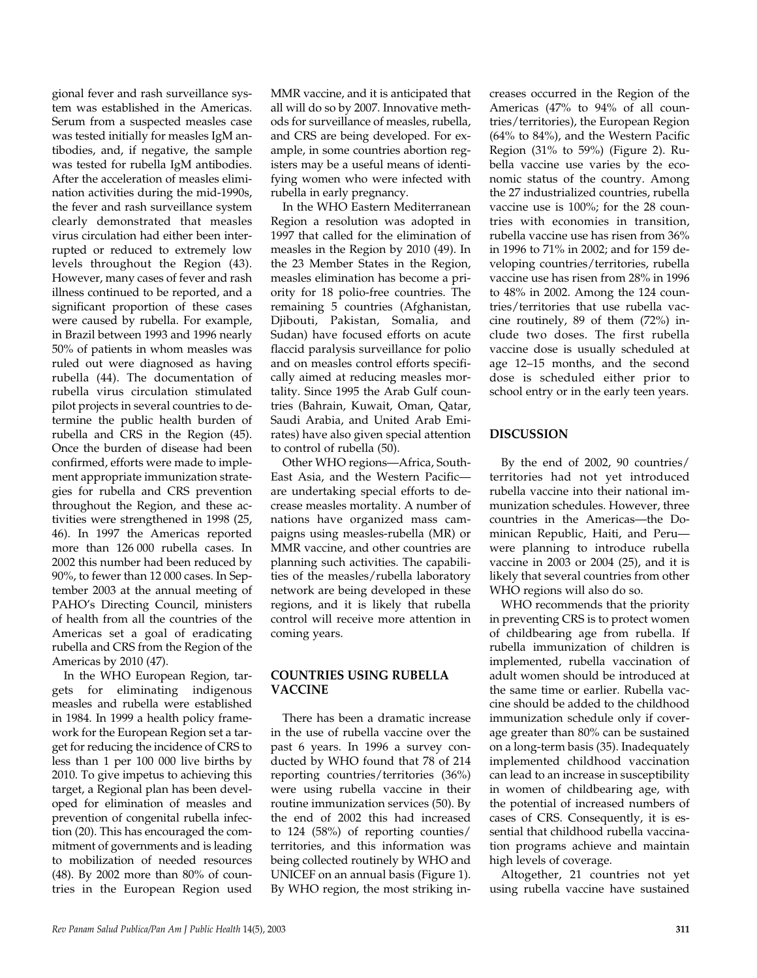gional fever and rash surveillance system was established in the Americas. Serum from a suspected measles case was tested initially for measles IgM antibodies, and, if negative, the sample was tested for rubella IgM antibodies. After the acceleration of measles elimination activities during the mid-1990s, the fever and rash surveillance system clearly demonstrated that measles virus circulation had either been interrupted or reduced to extremely low levels throughout the Region (43). However, many cases of fever and rash illness continued to be reported, and a significant proportion of these cases were caused by rubella. For example, in Brazil between 1993 and 1996 nearly 50% of patients in whom measles was ruled out were diagnosed as having rubella (44). The documentation of rubella virus circulation stimulated pilot projects in several countries to determine the public health burden of rubella and CRS in the Region (45). Once the burden of disease had been confirmed, efforts were made to implement appropriate immunization strategies for rubella and CRS prevention throughout the Region, and these activities were strengthened in 1998 (25, 46). In 1997 the Americas reported more than 126 000 rubella cases. In 2002 this number had been reduced by 90%, to fewer than 12 000 cases. In September 2003 at the annual meeting of PAHO's Directing Council, ministers of health from all the countries of the Americas set a goal of eradicating rubella and CRS from the Region of the Americas by 2010 (47).

In the WHO European Region, targets for eliminating indigenous measles and rubella were established in 1984. In 1999 a health policy framework for the European Region set a target for reducing the incidence of CRS to less than 1 per 100 000 live births by 2010. To give impetus to achieving this target, a Regional plan has been developed for elimination of measles and prevention of congenital rubella infection (20). This has encouraged the commitment of governments and is leading to mobilization of needed resources (48). By 2002 more than 80% of countries in the European Region used

MMR vaccine, and it is anticipated that all will do so by 2007. Innovative methods for surveillance of measles, rubella, and CRS are being developed. For example, in some countries abortion registers may be a useful means of identifying women who were infected with rubella in early pregnancy.

In the WHO Eastern Mediterranean Region a resolution was adopted in 1997 that called for the elimination of measles in the Region by 2010 (49). In the 23 Member States in the Region, measles elimination has become a priority for 18 polio-free countries. The remaining 5 countries (Afghanistan, Djibouti, Pakistan, Somalia, and Sudan) have focused efforts on acute flaccid paralysis surveillance for polio and on measles control efforts specifically aimed at reducing measles mortality. Since 1995 the Arab Gulf countries (Bahrain, Kuwait, Oman, Qatar, Saudi Arabia, and United Arab Emirates) have also given special attention to control of rubella (50).

Other WHO regions—Africa, South-East Asia, and the Western Pacific are undertaking special efforts to decrease measles mortality. A number of nations have organized mass campaigns using measles-rubella (MR) or MMR vaccine, and other countries are planning such activities. The capabilities of the measles/rubella laboratory network are being developed in these regions, and it is likely that rubella control will receive more attention in coming years.

### **COUNTRIES USING RUBELLA VACCINE**

There has been a dramatic increase in the use of rubella vaccine over the past 6 years. In 1996 a survey conducted by WHO found that 78 of 214 reporting countries/territories (36%) were using rubella vaccine in their routine immunization services (50). By the end of 2002 this had increased to 124 (58%) of reporting counties/ territories, and this information was being collected routinely by WHO and UNICEF on an annual basis (Figure 1). By WHO region, the most striking increases occurred in the Region of the Americas (47% to 94% of all countries/territories), the European Region (64% to 84%), and the Western Pacific Region (31% to 59%) (Figure 2). Rubella vaccine use varies by the economic status of the country. Among the 27 industrialized countries, rubella vaccine use is 100%; for the 28 countries with economies in transition, rubella vaccine use has risen from 36% in 1996 to 71% in 2002; and for 159 developing countries/territories, rubella vaccine use has risen from 28% in 1996 to 48% in 2002. Among the 124 countries/territories that use rubella vaccine routinely, 89 of them (72%) include two doses. The first rubella vaccine dose is usually scheduled at age 12–15 months, and the second dose is scheduled either prior to school entry or in the early teen years.

# **DISCUSSION**

By the end of 2002, 90 countries/ territories had not yet introduced rubella vaccine into their national immunization schedules. However, three countries in the Americas—the Dominican Republic, Haiti, and Peru were planning to introduce rubella vaccine in 2003 or 2004 (25), and it is likely that several countries from other WHO regions will also do so.

WHO recommends that the priority in preventing CRS is to protect women of childbearing age from rubella. If rubella immunization of children is implemented, rubella vaccination of adult women should be introduced at the same time or earlier. Rubella vaccine should be added to the childhood immunization schedule only if coverage greater than 80% can be sustained on a long-term basis (35). Inadequately implemented childhood vaccination can lead to an increase in susceptibility in women of childbearing age, with the potential of increased numbers of cases of CRS. Consequently, it is essential that childhood rubella vaccination programs achieve and maintain high levels of coverage.

Altogether, 21 countries not yet using rubella vaccine have sustained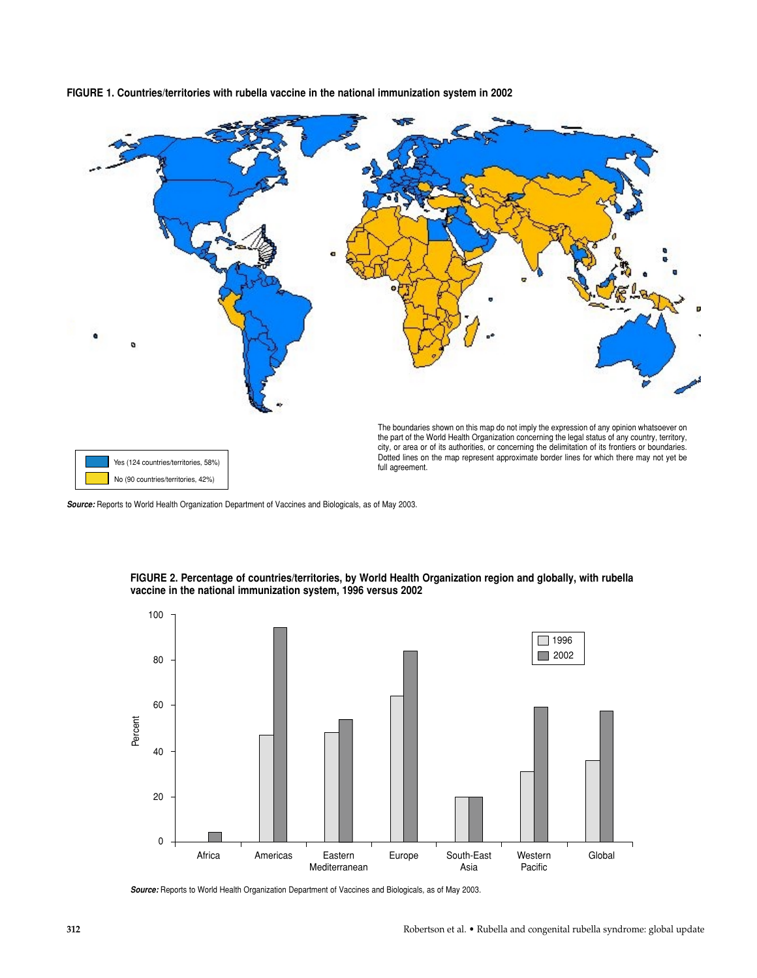**FIGURE 1. Countries/territories with rubella vaccine in the national immunization system in 2002**



*Source:* Reports to World Health Organization Department of Vaccines and Biologicals, as of May 2003.



**FIGURE 2. Percentage of countries/territories, by World Health Organization region and globally, with rubella vaccine in the national immunization system, 1996 versus 2002**

*Source:* Reports to World Health Organization Department of Vaccines and Biologicals, as of May 2003.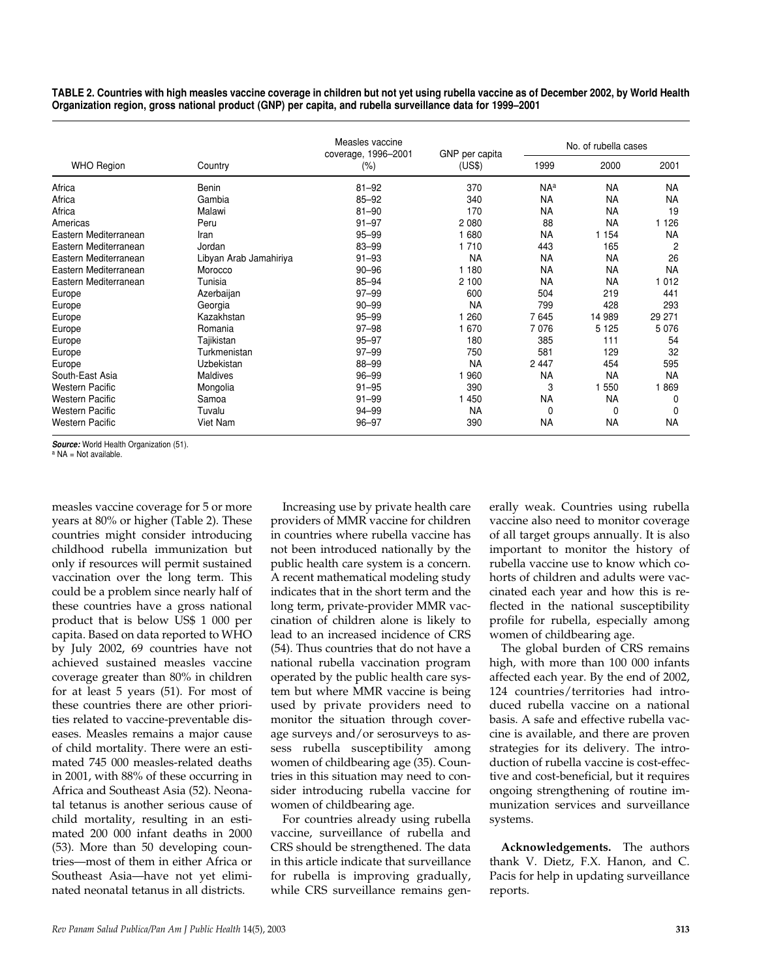| TABLE 2. Countries with high measles vaccine coverage in children but not yet using rubella vaccine as of December 2002, by World Health |  |
|------------------------------------------------------------------------------------------------------------------------------------------|--|
| Organization region, gross national product (GNP) per capita, and rubella surveillance data for 1999–2001                                |  |

|                        |                        | Measles vaccine<br>coverage, 1996-2001 | GNP per capita | No. of rubella cases |           |           |  |
|------------------------|------------------------|----------------------------------------|----------------|----------------------|-----------|-----------|--|
| <b>WHO Region</b>      | Country                | $(\% )$                                | (US\$)         | 1999                 | 2000      | 2001      |  |
| Africa                 | Benin                  | $81 - 92$                              | 370            | <b>NAa</b>           | <b>NA</b> | <b>NA</b> |  |
| Africa                 | Gambia                 | $85 - 92$                              | 340            | <b>NA</b>            | <b>NA</b> | <b>NA</b> |  |
| Africa                 | Malawi                 | $81 - 90$                              | 170            | <b>NA</b>            | <b>NA</b> | 19        |  |
| Americas               | Peru                   | $91 - 97$                              | 2 0 8 0        | 88                   | <b>NA</b> | 1 1 2 6   |  |
| Eastern Mediterranean  | Iran                   | $95 - 99$                              | 1680           | <b>NA</b>            | 1 1 5 4   | <b>NA</b> |  |
| Eastern Mediterranean  | Jordan                 | 83-99                                  | 1 7 1 0        | 443                  | 165       | 2         |  |
| Eastern Mediterranean  | Libyan Arab Jamahiriya | $91 - 93$                              | <b>NA</b>      | <b>NA</b>            | <b>NA</b> | 26        |  |
| Eastern Mediterranean  | Morocco                | $90 - 96$                              | 1 1 8 0        | <b>NA</b>            | <b>NA</b> | <b>NA</b> |  |
| Eastern Mediterranean  | Tunisia                | $85 - 94$                              | 2 100          | <b>NA</b>            | <b>NA</b> | 1 0 1 2   |  |
| Europe                 | Azerbaijan             | $97 - 99$                              | 600            | 504                  | 219       | 441       |  |
| Europe                 | Georgia                | $90 - 99$                              | <b>NA</b>      | 799                  | 428       | 293       |  |
| Europe                 | Kazakhstan             | $95 - 99$                              | 260            | 7645                 | 14 989    | 29 271    |  |
| Europe                 | Romania                | $97 - 98$                              | 1 670          | 7076                 | 5 1 2 5   | 5 0 7 6   |  |
| Europe                 | Tajikistan             | $95 - 97$                              | 180            | 385                  | 111       | 54        |  |
| Europe                 | Turkmenistan           | $97 - 99$                              | 750            | 581                  | 129       | 32        |  |
| Europe                 | <b>Uzbekistan</b>      | 88-99                                  | <b>NA</b>      | 2 4 4 7              | 454       | 595       |  |
| South-East Asia        | Maldives               | $96 - 99$                              | 960            | <b>NA</b>            | <b>NA</b> | <b>NA</b> |  |
| <b>Western Pacific</b> | Mongolia               | $91 - 95$                              | 390            | 3                    | 550       | 1869      |  |
| <b>Western Pacific</b> | Samoa                  | $91 - 99$                              | 1450           | <b>NA</b>            | <b>NA</b> | 0         |  |
| <b>Western Pacific</b> | Tuvalu                 | 94-99                                  | <b>NA</b>      | 0                    | 0         | 0         |  |
| <b>Western Pacific</b> | Viet Nam               | $96 - 97$                              | 390            | <b>NA</b>            | <b>NA</b> | <b>NA</b> |  |

**Source:** World Health Organization (51).

 $a \, NA = Not available$ .

measles vaccine coverage for 5 or more years at 80% or higher (Table 2). These countries might consider introducing childhood rubella immunization but only if resources will permit sustained vaccination over the long term. This could be a problem since nearly half of these countries have a gross national product that is below US\$ 1 000 per capita. Based on data reported to WHO by July 2002, 69 countries have not achieved sustained measles vaccine coverage greater than 80% in children for at least 5 years (51). For most of these countries there are other priorities related to vaccine-preventable diseases. Measles remains a major cause of child mortality. There were an estimated 745 000 measles-related deaths in 2001, with 88% of these occurring in Africa and Southeast Asia (52). Neonatal tetanus is another serious cause of child mortality, resulting in an estimated 200 000 infant deaths in 2000 (53). More than 50 developing countries—most of them in either Africa or Southeast Asia—have not yet eliminated neonatal tetanus in all districts.

Increasing use by private health care providers of MMR vaccine for children in countries where rubella vaccine has not been introduced nationally by the public health care system is a concern. A recent mathematical modeling study indicates that in the short term and the long term, private-provider MMR vaccination of children alone is likely to lead to an increased incidence of CRS (54). Thus countries that do not have a national rubella vaccination program operated by the public health care system but where MMR vaccine is being used by private providers need to monitor the situation through coverage surveys and/or serosurveys to assess rubella susceptibility among women of childbearing age (35). Countries in this situation may need to consider introducing rubella vaccine for women of childbearing age.

For countries already using rubella vaccine, surveillance of rubella and CRS should be strengthened. The data in this article indicate that surveillance for rubella is improving gradually, while CRS surveillance remains generally weak. Countries using rubella vaccine also need to monitor coverage of all target groups annually. It is also important to monitor the history of rubella vaccine use to know which cohorts of children and adults were vaccinated each year and how this is reflected in the national susceptibility profile for rubella, especially among women of childbearing age.

The global burden of CRS remains high, with more than 100 000 infants affected each year. By the end of 2002, 124 countries/territories had introduced rubella vaccine on a national basis. A safe and effective rubella vaccine is available, and there are proven strategies for its delivery. The introduction of rubella vaccine is cost-effective and cost-beneficial, but it requires ongoing strengthening of routine immunization services and surveillance systems.

**Acknowledgements.** The authors thank V. Dietz, F.X. Hanon, and C. Pacis for help in updating surveillance reports.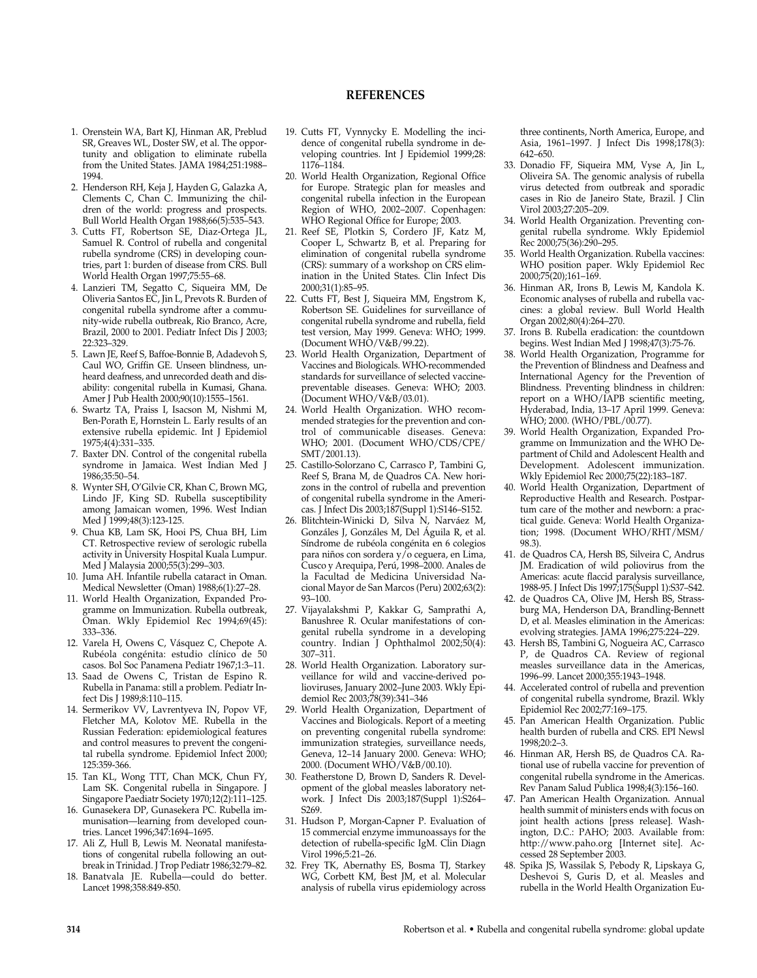#### **REFERENCES**

- 1. Orenstein WA, Bart KJ, Hinman AR, Preblud SR, Greaves WL, Doster SW, et al. The opportunity and obligation to eliminate rubella from the United States. JAMA 1984;251:1988– 1994.
- 2. Henderson RH, Keja J, Hayden G, Galazka A, Clements C, Chan C. Immunizing the children of the world: progress and prospects. Bull World Health Organ 1988;66(5):535–543.
- 3. Cutts FT, Robertson SE, Diaz-Ortega JL, Samuel R. Control of rubella and congenital rubella syndrome (CRS) in developing countries, part 1: burden of disease from CRS. Bull World Health Organ 1997;75:55–68.
- 4. Lanzieri TM, Segatto C, Siqueira MM, De Oliveria Santos EC, Jin L, Prevots R. Burden of congenital rubella syndrome after a community-wide rubella outbreak, Rio Branco, Acre, Brazil, 2000 to 2001. Pediatr Infect Dis J 2003; 22:323–329.
- 5. Lawn JE, Reef S, Baffoe-Bonnie B, Adadevoh S, Caul WO, Griffin GE. Unseen blindness, unheard deafness, and unrecorded death and disability: congenital rubella in Kumasi, Ghana. Amer J Pub Health 2000;90(10):1555–1561.
- 6. Swartz TA, Praiss I, Isacson M, Nishmi M, Ben-Porath E, Hornstein L. Early results of an extensive rubella epidemic. Int J Epidemiol 1975;4(4):331–335.
- 7. Baxter DN. Control of the congenital rubella syndrome in Jamaica. West Indian Med J 1986;35:50–54.
- 8. Wynter SH, O'Gilvie CR, Khan C, Brown MG, Lindo JF, King SD. Rubella susceptibility among Jamaican women, 1996. West Indian Med J 1999;48(3):123-125.
- 9. Chua KB, Lam SK, Hooi PS, Chua BH, Lim CT. Retrospective review of serologic rubella activity in University Hospital Kuala Lumpur. Med J Malaysia 2000;55(3):299–303.
- 10. Juma AH. Infantile rubella cataract in Oman. Medical Newsletter (Oman) 1988;6(1):27–28.
- 11. World Health Organization, Expanded Programme on Immunization. Rubella outbreak, Oman. Wkly Epidemiol Rec 1994;69(45): 333–336.
- 12. Varela H, Owens C, Vásquez C, Chepote A. Rubéola congénita: estudio clínico de 50 casos. Bol Soc Panamena Pediatr 1967;1:3–11.
- 13. Saad de Owens C, Tristan de Espino R. Rubella in Panama: still a problem. Pediatr Infect Dis J 1989;8:110–115.
- 14. Sermerikov VV, Lavrentyeva IN, Popov VF, Fletcher MA, Kolotov ME. Rubella in the Russian Federation: epidemiological features and control measures to prevent the congenital rubella syndrome. Epidemiol Infect 2000; 125:359-366.
- 15. Tan KL, Wong TTT, Chan MCK, Chun FY, Lam SK. Congenital rubella in Singapore. J Singapore Paediatr Society 1970;12(2):111–125.
- 16. Gunasekera DP, Gunasekera PC. Rubella immunisation—learning from developed countries. Lancet 1996;347:1694–1695.
- 17. Ali Z, Hull B, Lewis M. Neonatal manifestations of congenital rubella following an outbreak in Trinidad. J Trop Pediatr 1986;32:79–82.
- 18. Banatvala JE. Rubella—could do better. Lancet 1998;358:849-850.
- 19. Cutts FT, Vynnycky E. Modelling the incidence of congenital rubella syndrome in developing countries. Int J Epidemiol 1999;28: 1176–1184.
- 20. World Health Organization, Regional Office for Europe. Strategic plan for measles and congenital rubella infection in the European Region of WHO, 2002–2007. Copenhagen: WHO Regional Office for Europe; 2003.
- 21. Reef SE, Plotkin S, Cordero JF, Katz M, Cooper L, Schwartz B, et al. Preparing for elimination of congenital rubella syndrome (CRS): summary of a workshop on CRS elimination in the United States. Clin Infect Dis 2000;31(1):85–95.
- 22. Cutts FT, Best J, Siqueira MM, Engstrom K, Robertson SE. Guidelines for surveillance of congenital rubella syndrome and rubella, field test version, May 1999. Geneva: WHO; 1999. (Document WHO/V&B/99.22).
- 23. World Health Organization, Department of Vaccines and Biologicals. WHO-recommended standards for surveillance of selected vaccinepreventable diseases. Geneva: WHO; 2003. (Document WHO/V&B/03.01).
- 24. World Health Organization. WHO recommended strategies for the prevention and control of communicable diseases. Geneva: WHO; 2001. (Document WHO/CDS/CPE/ SMT/2001.13).
- 25. Castillo-Solorzano C, Carrasco P, Tambini G, Reef S, Brana M, de Quadros CA. New horizons in the control of rubella and prevention of congenital rubella syndrome in the Americas. J Infect Dis 2003;187(Suppl 1):S146–S152.
- 26. Blitchtein-Winicki D, Silva N, Narváez M, Gonzáles J, Gonzáles M, Del Águila R, et al. Síndrome de rubéola congénita en 6 colegios para niños con sordera y/o ceguera, en Lima, Cusco y Arequipa, Perú, 1998–2000. Anales de la Facultad de Medicina Universidad Nacional Mayor de San Marcos (Peru) 2002;63(2): 93–100.
- 27. Vijayalakshmi P, Kakkar G, Samprathi A, Banushree R. Ocular manifestations of congenital rubella syndrome in a developing country. Indian J Ophthalmol 2002;50(4): 307–311.
- 28. World Health Organization. Laboratory surveillance for wild and vaccine-derived polioviruses, January 2002–June 2003. Wkly Epidemiol Rec 2003;78(39):341–346
- 29. World Health Organization, Department of Vaccines and Biologicals. Report of a meeting on preventing congenital rubella syndrome: immunization strategies, surveillance needs, Geneva, 12–14 January 2000. Geneva: WHO; 2000. (Document WHO/V&B/00.10).
- 30. Featherstone D, Brown D, Sanders R. Development of the global measles laboratory network. J Infect Dis 2003;187(Suppl 1):S264– S269.
- 31. Hudson P, Morgan-Capner P. Evaluation of 15 commercial enzyme immunoassays for the detection of rubella-specific IgM. Clin Diagn Virol 1996;5:21–26.
- 32. Frey TK, Abernathy ES, Bosma TJ, Starkey WG, Corbett KM, Best JM, et al. Molecular analysis of rubella virus epidemiology across

three continents, North America, Europe, and Asia, 1961–1997. J Infect Dis 1998;178(3): 642–650.

- 33. Donadio FF, Siqueira MM, Vyse A, Jin L, Oliveira SA. The genomic analysis of rubella virus detected from outbreak and sporadic cases in Rio de Janeiro State, Brazil. J Clin Virol 2003;27:205–209.
- 34. World Health Organization. Preventing congenital rubella syndrome. Wkly Epidemiol Rec 2000;75(36):290–295.
- 35. World Health Organization. Rubella vaccines: WHO position paper. Wkly Epidemiol Rec 2000;75(20);161–169.
- 36. Hinman AR, Irons B, Lewis M, Kandola K. Economic analyses of rubella and rubella vaccines: a global review. Bull World Health Organ 2002;80(4):264–270.
- 37. Irons B. Rubella eradication: the countdown begins. West Indian Med J 1998;47(3):75-76.
- 38. World Health Organization, Programme for the Prevention of Blindness and Deafness and International Agency for the Prevention of Blindness. Preventing blindness in children: report on a WHO/IAPB scientific meeting, Hyderabad, India, 13–17 April 1999. Geneva: WHO; 2000. (WHO/PBL/00.77).
- 39. World Health Organization, Expanded Programme on Immunization and the WHO Department of Child and Adolescent Health and Development. Adolescent immunization. Wkly Epidemiol Rec 2000;75(22):183–187.
- 40. World Health Organization, Department of Reproductive Health and Research. Postpartum care of the mother and newborn: a practical guide. Geneva: World Health Organization; 1998. (Document WHO/RHT/MSM/ 98.3).
- 41. de Quadros CA, Hersh BS, Silveira C, Andrus JM. Eradication of wild poliovirus from the Americas: acute flaccid paralysis surveillance, 1988-95. J Infect Dis 1997;175(Suppl 1):S37–S42.
- 42. de Quadros CA, Olive JM, Hersh BS, Strassburg MA, Henderson DA, Brandling-Bennett D, et al. Measles elimination in the Americas: evolving strategies. JAMA 1996;275:224–229.
- 43. Hersh BS, Tambini G, Nogueira AC, Carrasco P, de Quadros CA. Review of regional measles surveillance data in the Americas, 1996–99. Lancet 2000;355:1943–1948.
- 44. Accelerated control of rubella and prevention of congenital rubella syndrome, Brazil. Wkly Epidemiol Rec 2002;77:169–175.
- 45. Pan American Health Organization. Public health burden of rubella and CRS. EPI Newsl 1998;20:2–3.
- 46. Hinman AR, Hersh BS, de Quadros CA. Rational use of rubella vaccine for prevention of congenital rubella syndrome in the Americas. Rev Panam Salud Publica 1998;4(3):156–160.
- 47. Pan American Health Organization. Annual health summit of ministers ends with focus on joint health actions [press release]. Washington, D.C.: PAHO; 2003. Available from: http://www.paho.org [Internet site]. Accessed 28 September 2003.
- 48. Spika JS, Wassilak S, Pebody R, Lipskaya G, Deshevoi S, Guris D, et al. Measles and rubella in the World Health Organization Eu-